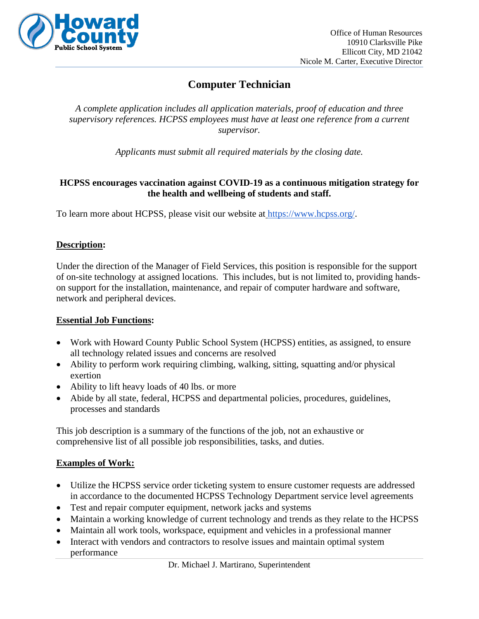

# **Computer Technician**

*A complete application includes all application materials, proof of education and three supervisory references. HCPSS employees must have at least one reference from a current supervisor.*

*Applicants must submit all required materials by the closing date.*

### **HCPSS encourages vaccination against COVID-19 as a continuous mitigation strategy for the health and wellbeing of students and staff.**

To learn more about HCPSS, please visit our website at [https://www.hcpss.org/.](https://www.hcpss.org/)

### **Description:**

Under the direction of the Manager of Field Services, this position is responsible for the support of on-site technology at assigned locations. This includes, but is not limited to, providing handson support for the installation, maintenance, and repair of computer hardware and software, network and peripheral devices.

### **Essential Job Functions:**

- Work with Howard County Public School System (HCPSS) entities, as assigned, to ensure all technology related issues and concerns are resolved
- Ability to perform work requiring climbing, walking, sitting, squatting and/or physical exertion
- Ability to lift heavy loads of 40 lbs. or more
- Abide by all state, federal, HCPSS and departmental policies, procedures, guidelines, processes and standards

This job description is a summary of the functions of the job, not an exhaustive or comprehensive list of all possible job responsibilities, tasks, and duties.

### **Examples of Work:**

- Utilize the HCPSS service order ticketing system to ensure customer requests are addressed in accordance to the documented HCPSS Technology Department service level agreements
- Test and repair computer equipment, network jacks and systems
- Maintain a working knowledge of current technology and trends as they relate to the HCPSS
- Maintain all work tools, workspace, equipment and vehicles in a professional manner
- Interact with vendors and contractors to resolve issues and maintain optimal system performance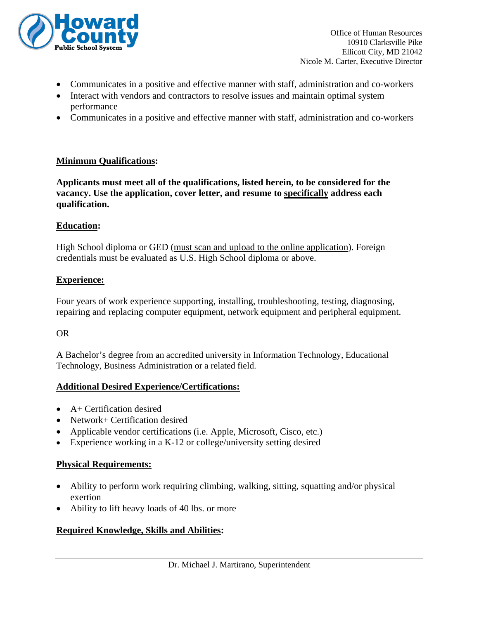

- Communicates in a positive and effective manner with staff, administration and co-workers
- Interact with vendors and contractors to resolve issues and maintain optimal system performance
- Communicates in a positive and effective manner with staff, administration and co-workers

#### **Minimum Qualifications:**

**Applicants must meet all of the qualifications, listed herein, to be considered for the vacancy. Use the application, cover letter, and resume to specifically address each qualification.**

#### **Education:**

High School diploma or GED (must scan and upload to the online application). Foreign credentials must be evaluated as U.S. High School diploma or above.

#### **Experience:**

Four years of work experience supporting, installing, troubleshooting, testing, diagnosing, repairing and replacing computer equipment, network equipment and peripheral equipment.

#### OR

A Bachelor's degree from an accredited university in Information Technology, Educational Technology, Business Administration or a related field.

#### **Additional Desired Experience/Certifications:**

- A+ Certification desired
- Network+ Certification desired
- Applicable vendor certifications (i.e. Apple, Microsoft, Cisco, etc.)
- Experience working in a K-12 or college/university setting desired

#### **Physical Requirements:**

- Ability to perform work requiring climbing, walking, sitting, squatting and/or physical exertion
- Ability to lift heavy loads of 40 lbs. or more

#### **Required Knowledge, Skills and Abilities:**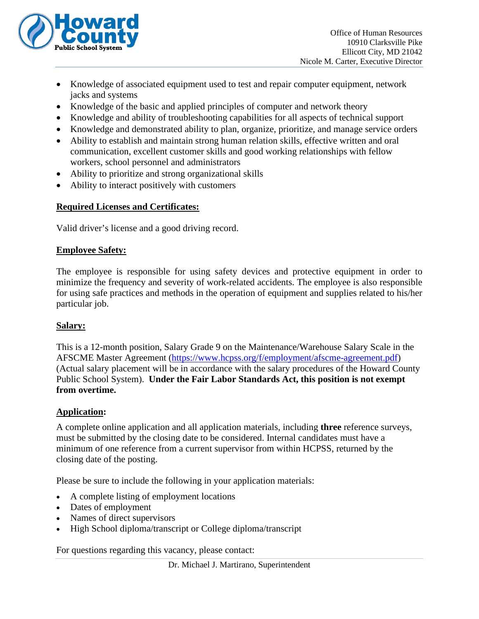

- Knowledge of associated equipment used to test and repair computer equipment, network jacks and systems
- Knowledge of the basic and applied principles of computer and network theory
- Knowledge and ability of troubleshooting capabilities for all aspects of technical support
- Knowledge and demonstrated ability to plan, organize, prioritize, and manage service orders
- Ability to establish and maintain strong human relation skills, effective written and oral communication, excellent customer skills and good working relationships with fellow workers, school personnel and administrators
- Ability to prioritize and strong organizational skills
- Ability to interact positively with customers

# **Required Licenses and Certificates:**

Valid driver's license and a good driving record.

## **Employee Safety:**

The employee is responsible for using safety devices and protective equipment in order to minimize the frequency and severity of work-related accidents. The employee is also responsible for using safe practices and methods in the operation of equipment and supplies related to his/her particular job.

# **Salary:**

This is a 12-month position, Salary Grade 9 on the Maintenance/Warehouse Salary Scale in the AFSCME Master Agreement [\(https://www.hcpss.org/f/employment/afscme-agreement.pdf\)](https://www.hcpss.org/f/employment/afscme-agreement.pdf) (Actual salary placement will be in accordance with the salary procedures of the Howard County Public School System). **Under the Fair Labor Standards Act, this position is not exempt from overtime.**

### **Application:**

A complete online application and all application materials, including **three** reference surveys, must be submitted by the closing date to be considered. Internal candidates must have a minimum of one reference from a current supervisor from within HCPSS, returned by the closing date of the posting.

Please be sure to include the following in your application materials:

- A complete listing of employment locations
- Dates of employment
- Names of direct supervisors
- High School diploma/transcript or College diploma/transcript

For questions regarding this vacancy, please contact: